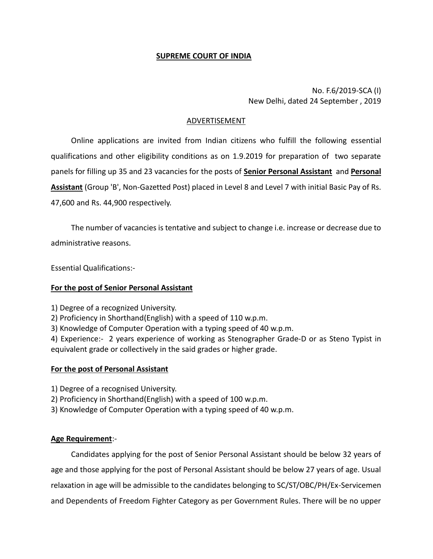## **SUPREME COURT OF INDIA**

No. F.6/2019-SCA (I) New Delhi, dated 24 September , 2019

## ADVERTISEMENT

Online applications are invited from Indian citizens who fulfill the following essential qualifications and other eligibility conditions as on 1.9.2019 for preparation of two separate panels for filling up 35 and 23 vacancies for the posts of **Senior Personal Assistant** and **Personal Assistant** (Group 'B', Non-Gazetted Post) placed in Level 8 and Level 7 with initial Basic Pay of Rs. 47,600 and Rs. 44,900 respectively.

The number of vacancies is tentative and subject to change i.e. increase or decrease due to administrative reasons.

Essential Qualifications:-

### **For the post of Senior Personal Assistant**

1) Degree of a recognized University.

2) Proficiency in Shorthand(English) with a speed of 110 w.p.m.

3) Knowledge of Computer Operation with a typing speed of 40 w.p.m.

4) Experience:- 2 years experience of working as Stenographer Grade-D or as Steno Typist in equivalent grade or collectively in the said grades or higher grade.

### **For the post of Personal Assistant**

1) Degree of a recognised University.

2) Proficiency in Shorthand(English) with a speed of 100 w.p.m.

3) Knowledge of Computer Operation with a typing speed of 40 w.p.m.

### **Age Requirement**:-

Candidates applying for the post of Senior Personal Assistant should be below 32 years of age and those applying for the post of Personal Assistant should be below 27 years of age. Usual relaxation in age will be admissible to the candidates belonging to SC/ST/OBC/PH/Ex-Servicemen and Dependents of Freedom Fighter Category as per Government Rules. There will be no upper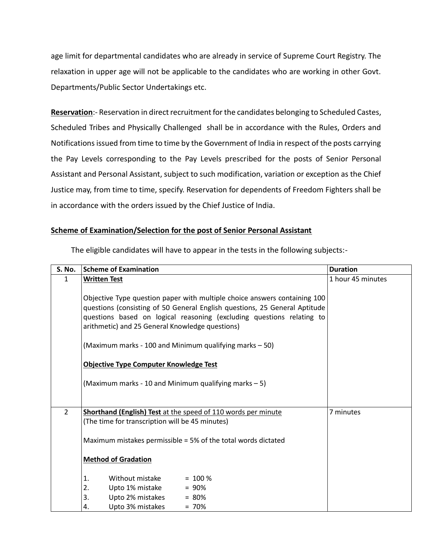age limit for departmental candidates who are already in service of Supreme Court Registry. The relaxation in upper age will not be applicable to the candidates who are working in other Govt. Departments/Public Sector Undertakings etc.

**Reservation**:- Reservation in direct recruitment for the candidates belonging to Scheduled Castes, Scheduled Tribes and Physically Challenged shall be in accordance with the Rules, Orders and Notifications issued from time to time by the Government of India in respect of the posts carrying the Pay Levels corresponding to the Pay Levels prescribed for the posts of Senior Personal Assistant and Personal Assistant, subject to such modification, variation or exception as the Chief Justice may, from time to time, specify. Reservation for dependents of Freedom Fighters shall be in accordance with the orders issued by the Chief Justice of India.

## **Scheme of Examination/Selection for the post of Senior Personal Assistant**

| <b>S. No.</b>  | <b>Scheme of Examination</b>                                                                                                                                                                                                                                                        | <b>Duration</b>   |
|----------------|-------------------------------------------------------------------------------------------------------------------------------------------------------------------------------------------------------------------------------------------------------------------------------------|-------------------|
| 1              | <b>Written Test</b>                                                                                                                                                                                                                                                                 | 1 hour 45 minutes |
|                | Objective Type question paper with multiple choice answers containing 100<br>questions (consisting of 50 General English questions, 25 General Aptitude<br>questions based on logical reasoning (excluding questions relating to<br>arithmetic) and 25 General Knowledge questions) |                   |
|                | (Maximum marks - 100 and Minimum qualifying marks - 50)                                                                                                                                                                                                                             |                   |
|                | <b>Objective Type Computer Knowledge Test</b>                                                                                                                                                                                                                                       |                   |
|                | (Maximum marks - 10 and Minimum qualifying marks - 5)                                                                                                                                                                                                                               |                   |
| $\overline{2}$ | Shorthand (English) Test at the speed of 110 words per minute                                                                                                                                                                                                                       | 7 minutes         |
|                | (The time for transcription will be 45 minutes)                                                                                                                                                                                                                                     |                   |
|                | Maximum mistakes permissible = 5% of the total words dictated                                                                                                                                                                                                                       |                   |
|                | <b>Method of Gradation</b>                                                                                                                                                                                                                                                          |                   |
|                | Without mistake<br>1.<br>$= 100 \%$                                                                                                                                                                                                                                                 |                   |
|                | 2.<br>Upto 1% mistake<br>$= 90%$                                                                                                                                                                                                                                                    |                   |
|                | 3.<br>Upto 2% mistakes<br>$= 80%$                                                                                                                                                                                                                                                   |                   |
|                | Upto 3% mistakes<br>$= 70%$<br>4.                                                                                                                                                                                                                                                   |                   |

The eligible candidates will have to appear in the tests in the following subjects:-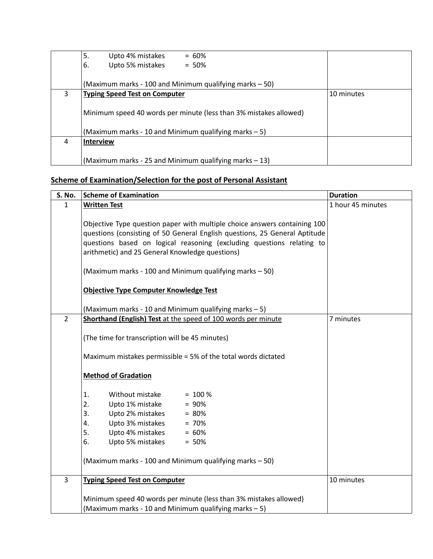|   | 5.<br>Upto 4% mistakes<br>$= 60\%$                                |            |
|---|-------------------------------------------------------------------|------------|
|   | Upto 5% mistakes<br>6.<br>$= 50\%$                                |            |
|   |                                                                   |            |
|   | (Maximum marks - 100 and Minimum qualifying marks – 50)           |            |
| 3 | <b>Typing Speed Test on Computer</b>                              | 10 minutes |
|   |                                                                   |            |
|   | Minimum speed 40 words per minute (less than 3% mistakes allowed) |            |
|   |                                                                   |            |
|   | (Maximum marks - 10 and Minimum qualifying marks $-5$ )           |            |
| 4 | <b>Interview</b>                                                  |            |
|   |                                                                   |            |
|   | (Maximum marks - 25 and Minimum qualifying marks $-13$ )          |            |

# **Scheme of Examination/Selection for the post of Personal Assistant**

| S. No.                  | <b>Scheme of Examination</b>                                                                                                                                                                                                                                                        | <b>Duration</b>   |
|-------------------------|-------------------------------------------------------------------------------------------------------------------------------------------------------------------------------------------------------------------------------------------------------------------------------------|-------------------|
| $\mathbf{1}$            | <b>Written Test</b>                                                                                                                                                                                                                                                                 | 1 hour 45 minutes |
|                         | Objective Type question paper with multiple choice answers containing 100<br>questions (consisting of 50 General English questions, 25 General Aptitude<br>questions based on logical reasoning (excluding questions relating to<br>arithmetic) and 25 General Knowledge questions) |                   |
|                         | (Maximum marks - 100 and Minimum qualifying marks - 50)                                                                                                                                                                                                                             |                   |
|                         | <b>Objective Type Computer Knowledge Test</b>                                                                                                                                                                                                                                       |                   |
|                         | (Maximum marks - 10 and Minimum qualifying marks - 5)                                                                                                                                                                                                                               |                   |
| $\overline{2}$          | Shorthand (English) Test at the speed of 100 words per minute                                                                                                                                                                                                                       | 7 minutes         |
|                         | (The time for transcription will be 45 minutes)                                                                                                                                                                                                                                     |                   |
|                         | Maximum mistakes permissible = 5% of the total words dictated                                                                                                                                                                                                                       |                   |
|                         | <b>Method of Gradation</b>                                                                                                                                                                                                                                                          |                   |
|                         | 1.<br>Without mistake<br>$= 100 \%$                                                                                                                                                                                                                                                 |                   |
|                         | 2.<br>Upto 1% mistake<br>$= 90%$                                                                                                                                                                                                                                                    |                   |
|                         | 3.<br>Upto 2% mistakes<br>$= 80%$                                                                                                                                                                                                                                                   |                   |
|                         | Upto 3% mistakes<br>$= 70%$<br>4.                                                                                                                                                                                                                                                   |                   |
|                         | 5.<br>Upto 4% mistakes<br>$= 60%$                                                                                                                                                                                                                                                   |                   |
|                         | Upto 5% mistakes<br>$= 50%$<br>6.                                                                                                                                                                                                                                                   |                   |
|                         | (Maximum marks - 100 and Minimum qualifying marks - 50)                                                                                                                                                                                                                             |                   |
| $\overline{\mathbf{3}}$ | <b>Typing Speed Test on Computer</b>                                                                                                                                                                                                                                                | 10 minutes        |
|                         | Minimum speed 40 words per minute (less than 3% mistakes allowed)<br>(Maximum marks - 10 and Minimum qualifying marks - 5)                                                                                                                                                          |                   |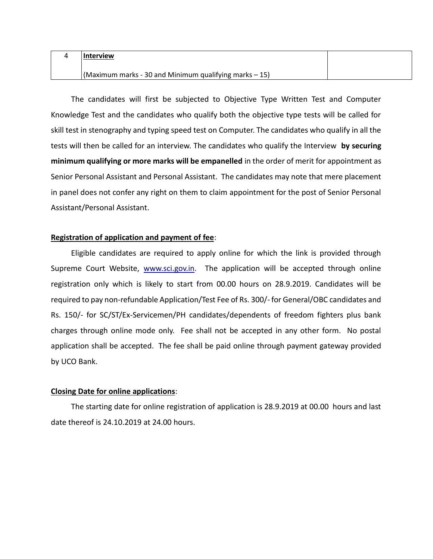| <b>Interview</b>                                                 |  |
|------------------------------------------------------------------|--|
| $\vert$ (Maximum marks - 30 and Minimum qualifying marks $-15$ ) |  |

The candidates will first be subjected to Objective Type Written Test and Computer Knowledge Test and the candidates who qualify both the objective type tests will be called for skill test in stenography and typing speed test on Computer. The candidates who qualify in all the tests will then be called for an interview. The candidates who qualify the Interview **by securing minimum qualifying or more marks will be empanelled** in the order of merit for appointment as Senior Personal Assistant and Personal Assistant. The candidates may note that mere placement in panel does not confer any right on them to claim appointment for the post of Senior Personal Assistant/Personal Assistant.

### **Registration of application and payment of fee**:

Eligible candidates are required to apply online for which the link is provided through Supreme Court Website, [www.sci.gov.in.](http://www.sci.nic.in/) The application will be accepted through online registration only which is likely to start from 00.00 hours on 28.9.2019. Candidates will be required to pay non-refundable Application/Test Fee of Rs. 300/- for General/OBC candidates and Rs. 150/- for SC/ST/Ex-Servicemen/PH candidates/dependents of freedom fighters plus bank charges through online mode only. Fee shall not be accepted in any other form. No postal application shall be accepted. The fee shall be paid online through payment gateway provided by UCO Bank.

#### **Closing Date for online applications**:

The starting date for online registration of application is 28.9.2019 at 00.00 hours and last date thereof is 24.10.2019 at 24.00 hours.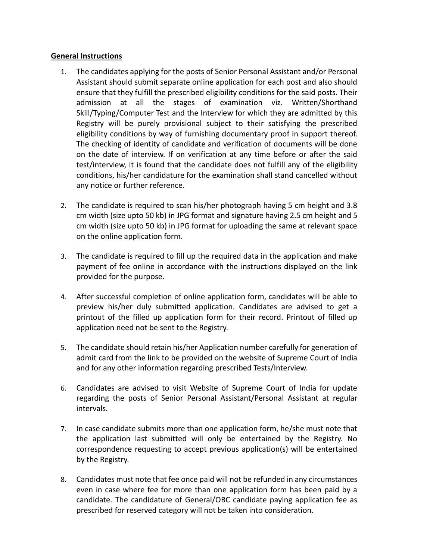## **General Instructions**

- 1. The candidates applying for the posts of Senior Personal Assistant and/or Personal Assistant should submit separate online application for each post and also should ensure that they fulfill the prescribed eligibility conditions for the said posts. Their admission at all the stages of examination viz. Written/Shorthand Skill/Typing/Computer Test and the Interview for which they are admitted by this Registry will be purely provisional subject to their satisfying the prescribed eligibility conditions by way of furnishing documentary proof in support thereof. The checking of identity of candidate and verification of documents will be done on the date of interview. If on verification at any time before or after the said test/interview, it is found that the candidate does not fulfill any of the eligibility conditions, his/her candidature for the examination shall stand cancelled without any notice or further reference.
- 2. The candidate is required to scan his/her photograph having 5 cm height and 3.8 cm width (size upto 50 kb) in JPG format and signature having 2.5 cm height and 5 cm width (size upto 50 kb) in JPG format for uploading the same at relevant space on the online application form.
- 3. The candidate is required to fill up the required data in the application and make payment of fee online in accordance with the instructions displayed on the link provided for the purpose.
- 4. After successful completion of online application form, candidates will be able to preview his/her duly submitted application. Candidates are advised to get a printout of the filled up application form for their record. Printout of filled up application need not be sent to the Registry.
- 5. The candidate should retain his/her Application number carefully for generation of admit card from the link to be provided on the website of Supreme Court of India and for any other information regarding prescribed Tests/Interview.
- 6. Candidates are advised to visit Website of Supreme Court of India for update regarding the posts of Senior Personal Assistant/Personal Assistant at regular intervals.
- 7. In case candidate submits more than one application form, he/she must note that the application last submitted will only be entertained by the Registry. No correspondence requesting to accept previous application(s) will be entertained by the Registry.
- 8. Candidates must note that fee once paid will not be refunded in any circumstances even in case where fee for more than one application form has been paid by a candidate. The candidature of General/OBC candidate paying application fee as prescribed for reserved category will not be taken into consideration.